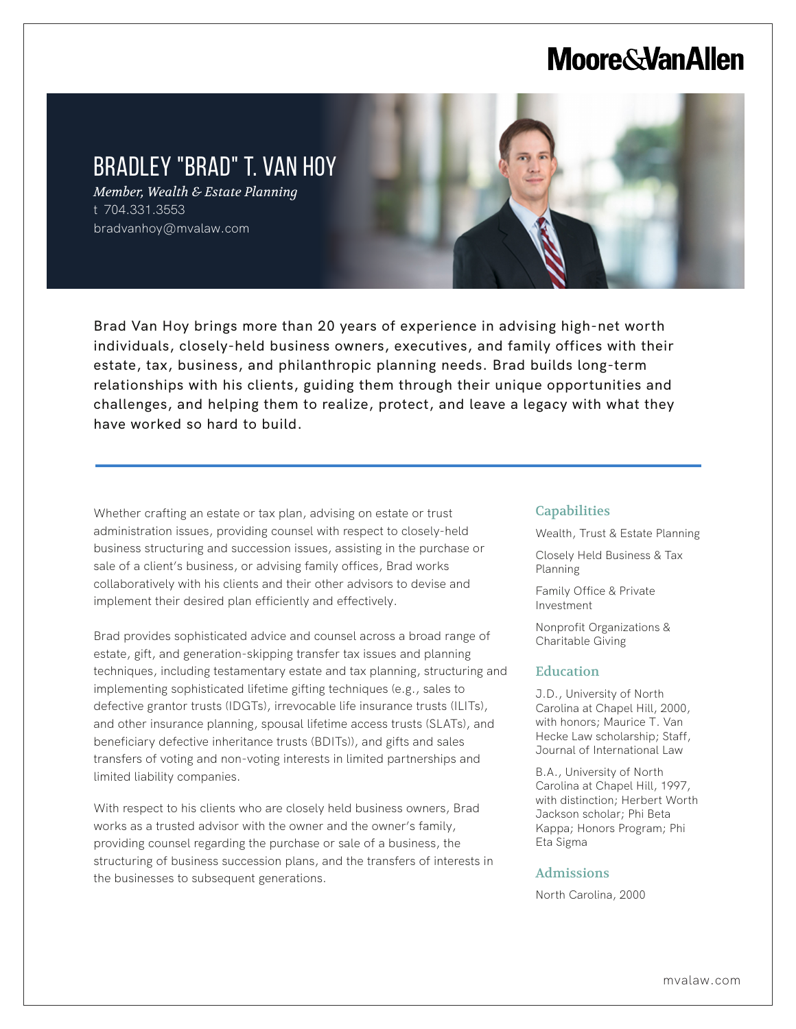# **Moore & Van Allen**

# BRADLEY "BRAD" T. VAN HOY

*Member, Wealth & Estate Planning* t 704.331.3553 bradvanhoy@mvalaw.com

l,



Brad Van Hoy brings more than 20 years of experience in advising high-net worth individuals, closely-held business owners, executives, and family offices with their estate, tax, business, and philanthropic planning needs. Brad builds long-term relationships with his clients, guiding them through their unique opportunities and challenges, and helping them to realize, protect, and leave a legacy with what they have worked so hard to build.

Whether crafting an estate or tax plan, advising on estate or trust administration issues, providing counsel with respect to closely-held business structuring and succession issues, assisting in the purchase or sale of a client's business, or advising family offices, Brad works collaboratively with his clients and their other advisors to devise and implement their desired plan efficiently and effectively.

Brad provides sophisticated advice and counsel across a broad range of estate, gift, and generation-skipping transfer tax issues and planning techniques, including testamentary estate and tax planning, structuring and implementing sophisticated lifetime gifting techniques (e.g., sales to defective grantor trusts (IDGTs), irrevocable life insurance trusts (ILITs), and other insurance planning, spousal lifetime access trusts (SLATs), and beneficiary defective inheritance trusts (BDITs)), and gifts and sales transfers of voting and non-voting interests in limited partnerships and limited liability companies.

With respect to his clients who are closely held business owners, Brad works as a trusted advisor with the owner and the owner's family, providing counsel regarding the purchase or sale of a business, the structuring of business succession plans, and the transfers of interests in the businesses to subsequent generations.

#### **Capabilities**

Wealth, Trust & Estate Planning

Closely Held Business & Tax Planning

Family Office & Private Investment

Nonprofit Organizations & Charitable Giving

#### Education

J.D., University of North Carolina at Chapel Hill, 2000, with honors; Maurice T. Van Hecke Law scholarship; Staff, Journal of International Law

B.A., University of North Carolina at Chapel Hill, 1997, with distinction; Herbert Worth Jackson scholar; Phi Beta Kappa; Honors Program; Phi Eta Sigma

#### Admissions

North Carolina, 2000